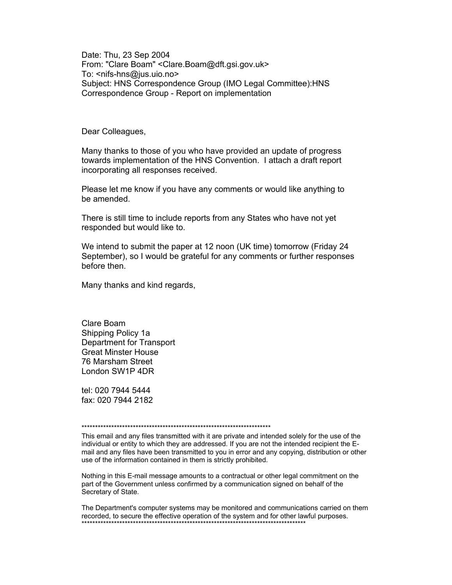Date: Thu, 23 Sep 2004 From: "Clare Boam" < Clare. Boam@dft.gsi.gov.uk> To: <nifs-hns@ius.uio.no> Subject: HNS Correspondence Group (IMO Legal Committee): HNS Correspondence Group - Report on implementation

Dear Colleagues,

Many thanks to those of you who have provided an update of progress towards implementation of the HNS Convention. I attach a draft report incorporating all responses received.

Please let me know if you have any comments or would like anything to be amended.

There is still time to include reports from any States who have not yet responded but would like to.

We intend to submit the paper at 12 noon (UK time) tomorrow (Friday 24 September), so I would be grateful for any comments or further responses before then.

Many thanks and kind regards,

Clare Boam Shipping Policy 1a Department for Transport **Great Minster House** 76 Marsham Street London SW1P 4DR

tel: 020 7944 5444 fax: 020 7944 2182

This email and any files transmitted with it are private and intended solely for the use of the individual or entity to which they are addressed. If you are not the intended recipient the Email and any files have been transmitted to you in error and any copying, distribution or other use of the information contained in them is strictly prohibited.

Nothing in this E-mail message amounts to a contractual or other legal commitment on the part of the Government unless confirmed by a communication signed on behalf of the Secretary of State.

The Department's computer systems may be monitored and communications carried on them recorded, to secure the effective operation of the system and for other lawful purposes.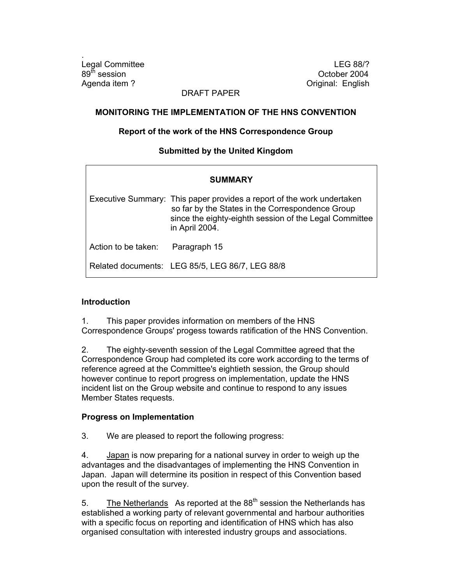.

Legal Committee Legal Committee LEG 88/?  $89<sup>th</sup>$  session  $0<sup>th</sup>$  session Agenda item ? Calculation Contract Contract Contract Contract Contract Contract Contract Contract Contract Contract Contract Contract Contract Contract Contract Contract Contract Contract Contract Contract Contract Contrac

# DRAFT PAPER

### **MONITORING THE IMPLEMENTATION OF THE HNS CONVENTION**

### **Report of the work of the HNS Correspondence Group**

# **Submitted by the United Kingdom**

| <b>SUMMARY</b>      |                                                                                                                                                                                                        |
|---------------------|--------------------------------------------------------------------------------------------------------------------------------------------------------------------------------------------------------|
|                     | Executive Summary: This paper provides a report of the work undertaken<br>so far by the States in the Correspondence Group<br>since the eighty-eighth session of the Legal Committee<br>in April 2004. |
| Action to be taken: | Paragraph 15                                                                                                                                                                                           |
|                     | Related documents: LEG 85/5, LEG 86/7, LEG 88/8                                                                                                                                                        |

## **Introduction**

1. This paper provides information on members of the HNS Correspondence Groups' progess towards ratification of the HNS Convention.

2. The eighty-seventh session of the Legal Committee agreed that the Correspondence Group had completed its core work according to the terms of reference agreed at the Committee's eightieth session, the Group should however continue to report progress on implementation, update the HNS incident list on the Group website and continue to respond to any issues Member States requests.

#### **Progress on Implementation**

3. We are pleased to report the following progress:

4. Japan is now preparing for a national survey in order to weigh up the advantages and the disadvantages of implementing the HNS Convention in Japan. Japan will determine its position in respect of this Convention based upon the result of the survey.

5. The Netherlands As reported at the  $88<sup>th</sup>$  session the Netherlands has established a working party of relevant governmental and harbour authorities with a specific focus on reporting and identification of HNS which has also organised consultation with interested industry groups and associations.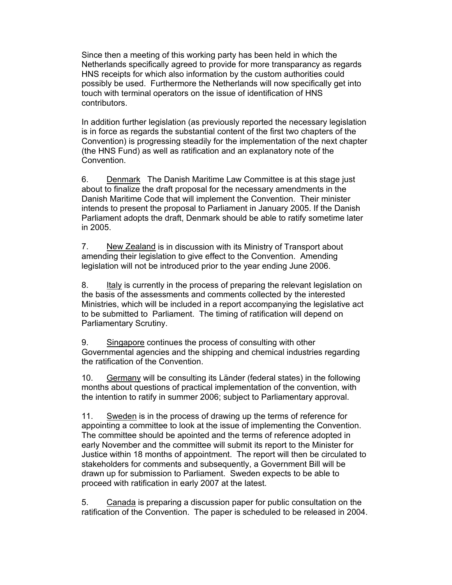Since then a meeting of this working party has been held in which the Netherlands specifically agreed to provide for more transparancy as regards HNS receipts for which also information by the custom authorities could possibly be used. Furthermore the Netherlands will now specifically get into touch with terminal operators on the issue of identification of HNS contributors.

In addition further legislation (as previously reported the necessary legislation is in force as regards the substantial content of the first two chapters of the Convention) is progressing steadily for the implementation of the next chapter (the HNS Fund) as well as ratification and an explanatory note of the Convention.

6. Denmark The Danish Maritime Law Committee is at this stage just about to finalize the draft proposal for the necessary amendments in the Danish Maritime Code that will implement the Convention. Their minister intends to present the proposal to Parliament in January 2005. If the Danish Parliament adopts the draft, Denmark should be able to ratify sometime later in 2005.

7. New Zealand is in discussion with its Ministry of Transport about amending their legislation to give effect to the Convention. Amending legislation will not be introduced prior to the year ending June 2006.

8. Italy is currently in the process of preparing the relevant legislation on the basis of the assessments and comments collected by the interested Ministries, which will be included in a report accompanying the legislative act to be submitted to Parliament. The timing of ratification will depend on Parliamentary Scrutiny.

9. Singapore continues the process of consulting with other Governmental agencies and the shipping and chemical industries regarding the ratification of the Convention.

10. Germany will be consulting its Länder (federal states) in the following months about questions of practical implementation of the convention, with the intention to ratify in summer 2006; subject to Parliamentary approval.

11. Sweden is in the process of drawing up the terms of reference for appointing a committee to look at the issue of implementing the Convention. The committee should be apointed and the terms of reference adopted in early November and the committee will submit its report to the Minister for Justice within 18 months of appointment. The report will then be circulated to stakeholders for comments and subsequently, a Government Bill will be drawn up for submission to Parliament. Sweden expects to be able to proceed with ratification in early 2007 at the latest.

5. Canada is preparing a discussion paper for public consultation on the ratification of the Convention. The paper is scheduled to be released in 2004.